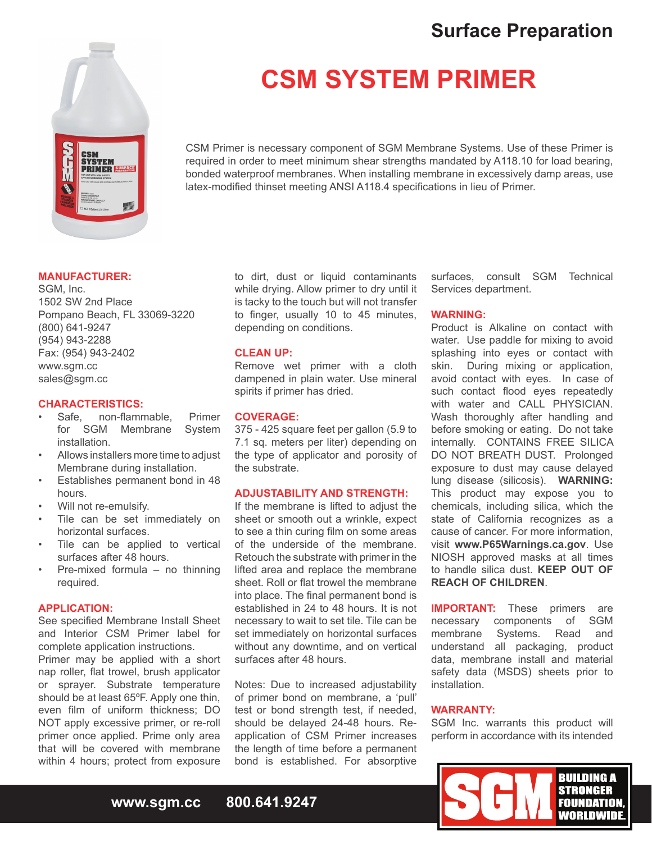# **Surface Preparation**



# **CSM SYSTEM PRIMER**

CSM Primer is necessary component of SGM Membrane Systems. Use of these Primer is required in order to meet minimum shear strengths mandated by A118.10 for load bearing, bonded waterproof membranes. When installing membrane in excessively damp areas, use latex-modified thinset meeting ANSI A118.4 specifications in lieu of Primer.

# **MANUFACTURER:**

SGM, Inc. 1502 SW 2nd Place Pompano Beach, FL 33069-3220 (800) 641-9247 (954) 943-2288 Fax: (954) 943-2402 www.sgm.cc sales@sqm.cc

# **CHARACTERISTICS:**

- non-flammable. Primer for SGM Membrane System installation.
- Allows installers more time to adjust Membrane during installation.
- Establishes permanent bond in 48 hours.
- Will not re-emulsify.
- Tile can be set immediately on horizontal surfaces.
- Tile can be applied to vertical surfaces after 48 hours.
- Pre-mixed formula no thinning required.

# **APPLICATION:**

See specified Membrane Install Sheet and Interior CSM Primer label for complete application instructions. Primer may be applied with a short nap roller, flat trowel, brush applicator or sprayer. Substrate temperature should be at least 65ºF. Apply one thin, even film of uniform thickness; DO NOT apply excessive primer, or re-roll primer once applied. Prime only area that will be covered with membrane within 4 hours; protect from exposure

to dirt, dust or liquid contaminants while drying. Allow primer to dry until it is tacky to the touch but will not transfer to finger, usually 10 to 45 minutes, depending on conditions.

## **CLEAN UP:**

Remove wet primer with a cloth dampened in plain water. Use mineral spirits if primer has dried.

# **COVERAGE:**

375 - 425 square feet per gallon (5.9 to 7.1 sq. meters per liter) depending on the type of applicator and porosity of the substrate.

# **ADJUSTABILITY AND STRENGTH:**

If the membrane is lifted to adjust the sheet or smooth out a wrinkle, expect to see a thin curing film on some areas of the underside of the membrane. Retouch the substrate with primer in the lifted area and replace the membrane sheet. Roll or flat trowel the membrane into place. The final permanent bond is established in 24 to 48 hours. It is not necessary to wait to set tile. Tile can be set immediately on horizontal surfaces without any downtime, and on vertical surfaces after 48 hours.

Notes: Due to increased adjustability of primer bond on membrane, a 'pull' test or bond strength test, if needed, should be delayed 24-48 hours. Reapplication of CSM Primer increases the length of time before a permanent bond is established. For absorptive

surfaces, consult SGM Technical Services department.

### **WARNING:**

Product is Alkaline on contact with water. Use paddle for mixing to avoid splashing into eyes or contact with skin. During mixing or application, avoid contact with eyes. In case of such contact flood eyes repeatedly with water and CALL PHYSICIAN. Wash thoroughly after handling and before smoking or eating. Do not take internally. CONTAINS FREE SILICA DO NOT BREATH DUST. Prolonged exposure to dust may cause delayed lung disease (silicosis). **WARNING:**  This product may expose you to chemicals, including silica, which the state of California recognizes as a cause of cancer. For more information, visit **www.P65Warnings.ca.gov**. Use NIOSH approved masks at all times to handle silica dust. **KEEP OUT OF REACH OF CHILDREN**.

**IMPORTANT:** These primers are necessary components of SGM necessary components of membrane Systems. Read and understand all packaging, product data, membrane install and material safety data (MSDS) sheets prior to installation.

### **WARRANTY:**

SGM Inc. warrants this product will perform in accordance with its intended